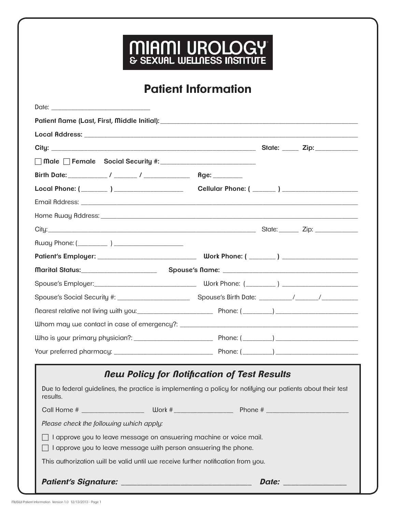## **MIAMI UROLOGY**

## **Patient Information**

| <b>New Policy for Notification of Test Results</b>                                                                                    |       |  |
|---------------------------------------------------------------------------------------------------------------------------------------|-------|--|
| Due to federal guidelines, the practice is implementing a policy for notifying our patients about their test<br>results.              |       |  |
|                                                                                                                                       |       |  |
| Please check the following which apply:                                                                                               |       |  |
| I approve you to leave message on answering machine or voice mail.<br>I approve you to leave message with person answering the phone. |       |  |
| This authorization will be valid until we receive further notification from you.                                                      |       |  |
|                                                                                                                                       | Date: |  |